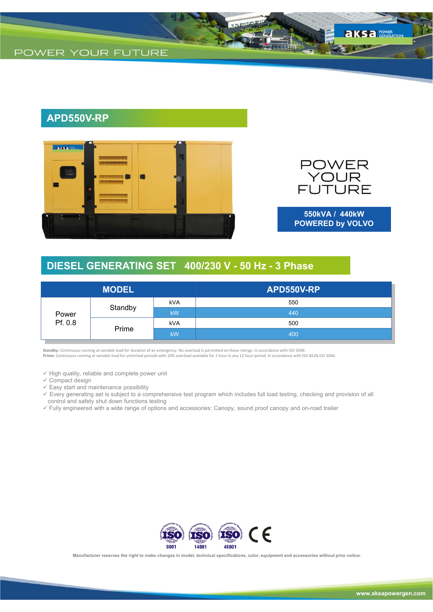

## **APD550V-RP**



POWER<br>YOUR<br>FUTURE

**550kVA / 440kW POWERED by VOLVO**

## **DIESEL GENERATING SET 400/230 V - 50 Hz - 3 Phase**

| <b>MODEL</b>     |         |            | APD550V-RP |
|------------------|---------|------------|------------|
| Power<br>Pf. 0.8 | Standby | kVA        | 550        |
|                  |         | <b>kW</b>  | 440        |
|                  | Prime   | <b>kVA</b> | 500        |
|                  |         | <b>kW</b>  | 400        |

**Standby:** Continuous running at variable load for duration of an emergency. No overload is permitted on these ratings. In accordance with ISO 3046 . **Prime:** Continuous running at variable load for unlimited periods with 10% overload available for 1 hour in any 12 hour period. In accordance with ISO 8528,ISO 3046.

 $\checkmark$  High quality, reliable and complete power unit

 $\checkmark$  Compact design

 $\checkmark$  Easy start and maintenance possibility

 Every generating set is subject to a comprehensive test program which includes full load testing, checking and provision of all control and safety shut down functions testing

Fully engineered with a wide range of options and accessories: Canopy, sound proof canopy and on-road trailer



**Manufacturer reserves the right to make changes in model, technical specifications, color, equipment and accessories without prior notice.**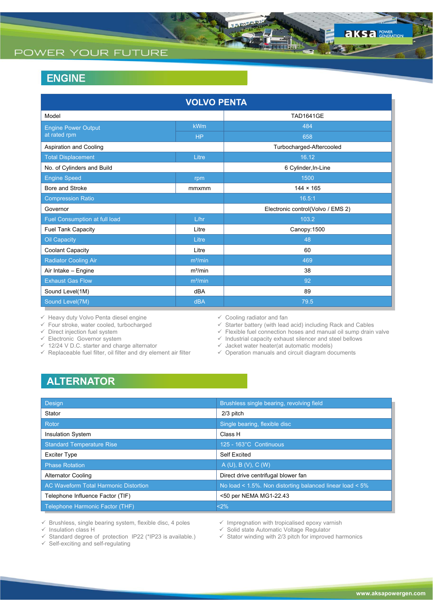## POWER YOUR FUTURE

## **ENGINE**

| <b>VOLVO PENTA</b>            |                     |                                   |  |  |  |  |
|-------------------------------|---------------------|-----------------------------------|--|--|--|--|
| Model                         |                     | <b>TAD1641GE</b>                  |  |  |  |  |
| <b>Engine Power Output</b>    | <b>kWm</b>          | 484                               |  |  |  |  |
| at rated rpm                  | <b>HP</b>           | 658                               |  |  |  |  |
| Aspiration and Cooling        |                     | Turbocharged-Aftercooled          |  |  |  |  |
| <b>Total Displacement</b>     | Litre               | 16.12                             |  |  |  |  |
| No. of Cylinders and Build    |                     | 6 Cylinder, In-Line               |  |  |  |  |
| <b>Engine Speed</b>           | rpm                 | 1500                              |  |  |  |  |
| Bore and Stroke               | mmxmm               | $144 \times 165$                  |  |  |  |  |
| <b>Compression Ratio</b>      |                     | 16.5:1                            |  |  |  |  |
| Governor                      |                     | Electronic control(Volvo / EMS 2) |  |  |  |  |
| Fuel Consumption at full load | L/hr                | 103.2                             |  |  |  |  |
| <b>Fuel Tank Capacity</b>     | Litre               | Canopy: 1500                      |  |  |  |  |
| <b>Oil Capacity</b>           | Litre               | 48                                |  |  |  |  |
| <b>Coolant Capacity</b>       | Litre               | 60                                |  |  |  |  |
| <b>Radiator Cooling Air</b>   | $m^3/m$ in          | 469                               |  |  |  |  |
| Air Intake - Engine           | $m^3/m$ in          | 38                                |  |  |  |  |
| <b>Exhaust Gas Flow</b>       | m <sup>3</sup> /min | 92                                |  |  |  |  |
| Sound Level(1M)               | dBA                 | 89                                |  |  |  |  |
| Sound Level(7M)               | <b>dBA</b>          | 79.5                              |  |  |  |  |

 $\checkmark$  Heavy duty Volvo Penta diesel engine

 $\checkmark$  Four stroke, water cooled, turbocharged

 $\checkmark$  Direct injection fuel system

 $\checkmark$  Electronic Governor system

- 12/24 V D.C. starter and charge alternator
- $\checkmark$  Replaceable fuel filter, oil filter and dry element air filter
- $\checkmark$  Cooling radiator and fan

 $\checkmark$  Starter battery (with lead acid) including Rack and Cables

 $\checkmark$  Flexible fuel connection hoses and manual oil sump drain valve

 $\checkmark$  Industrial capacity exhaust silencer and steel bellows

 $\checkmark$  Jacket water heater(at automatic models)

 $\checkmark$  Operation manuals and circuit diagram documents

# **ALTERNATOR**

| Design                                       | Brushless single bearing, revolving field                |
|----------------------------------------------|----------------------------------------------------------|
| Stator                                       | 2/3 pitch                                                |
| Rotor                                        | Single bearing, flexible disc                            |
| <b>Insulation System</b>                     | Class H                                                  |
| <b>Standard Temperature Rise</b>             | 125 - 163°C Continuous                                   |
| <b>Exciter Type</b>                          | <b>Self Excited</b>                                      |
| <b>Phase Rotation</b>                        | A(U), B(V), C(W)                                         |
| <b>Alternator Cooling</b>                    | Direct drive centrifugal blower fan                      |
| <b>AC Waveform Total Harmonic Distortion</b> | No load < 1.5%. Non distorting balanced linear load < 5% |
| Telephone Influence Factor (TIF)             | <50 per NEMA MG1-22.43                                   |
| Telephone Harmonic Factor (THF)              | <2%                                                      |

 $\checkmark$  Brushless, single bearing system, flexible disc, 4 poles

 $\checkmark$  Insulation class H

 $\checkmark$  Standard degree of protection IP22 (\*IP23 is available.)

 $\checkmark$  Self-exciting and self-regulating

- $\checkmark$  Impregnation with tropicalised epoxy varnish
- $\checkmark$  Solid state Automatic Voltage Regulator
- $\checkmark$  Stator winding with 2/3 pitch for improved harmonics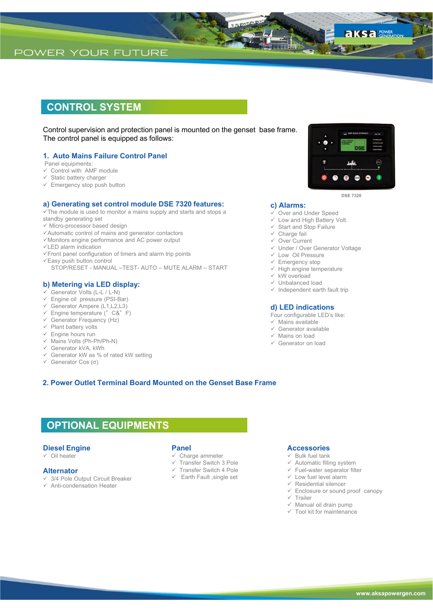### **CONTROL SYSTEM**

Control supervision and protection panel is mounted on the genset base frame. The control panel is equipped as follows:

#### **1. Auto Mains Failure Control Panel**

- Panel equipments:
- $\checkmark$  Control with AMF module
- $\checkmark$  Static battery charger
- $\checkmark$  Emergency stop push button

#### **a) Generating set control module DSE 7320 features:**

- $\sqrt{T}$ he module is used to monitor a mains supply and starts and stops a
- standby generating set
- $\checkmark$  Micro-processor based design
- Automatic control of mains and generator contactors
- Monitors engine performance and AC power output
- $\checkmark$ LED alarm indication
- Front panel configuration of timers and alarm trip points
- $\checkmark$  Easy push button control
	- STOP/RESET MANUAL –TEST- AUTO MUTE ALARM START

#### **b) Metering via LED display:**

- $\checkmark$  Generator Volts (L-L / L-N)
- $\checkmark$  Engine oil pressure (PSI-Bar)
- Generator Ampere (L1,L2,L3)
- $\checkmark$  Engine temperature (°C&°F)
- $\checkmark$  Generator Frequency (Hz)
- $\checkmark$  Plant battery volts
- $\checkmark$  Engine hours run
- $\checkmark$  Mains Volts (Ph-Ph/Ph-N)
- Generator kVA, kWh
- $\checkmark$  Generator kW as % of rated kW setting
- Generator Cos (σ)

#### **2. Power Outlet Terminal Board Mounted on the Genset Base Frame**

### **OPTIONAL EQUIPMENTS**

#### **Diesel Engine**

 $\checkmark$  Oil heater

#### **Alternator**

- 3/4 Pole Output Circuit Breaker
- $\checkmark$  Anti-condensation Heater

#### **Panel**

- $\checkmark$  Charge ammeter
- Transfer Switch 3 Pole  $\checkmark$  Transfer Switch 4 Pole
- $\checkmark$  Earth Fault , single set
- 

#### **Accessories**

- $\checkmark$  Bulk fuel tank
- $\checkmark$  Automatic filling system
- $\checkmark$  Fuel-water separator filter
- $\checkmark$  Low fuel level alarm
- $\checkmark$  Residential silencer
- $\checkmark$  Enclosure or sound proof canopy
- $\times$  Trailer
- $\checkmark$  Manual oil drain pump
- $\checkmark$  Tool kit for maintenance
- Unbalanced load
- $\checkmark$  Independent earth fault trip

Under / Over Generator Voltage

#### **d) LED indications**

- Four configurable LED's like:
- $\checkmark$  Mains available
- $\checkmark$  Generator available
- $\checkmark$  Mains on load

**c) Alarms:**

 $\checkmark$  Charge fail Over Current

 $\times$  kW overload

 Low Oil Pressure  $\checkmark$  Emergency stop  $\checkmark$  High engine temperature

 Over and Under Speed  $\checkmark$  Low and High Battery Volt.  $\checkmark$  Start and Stop Failure

Generator on load